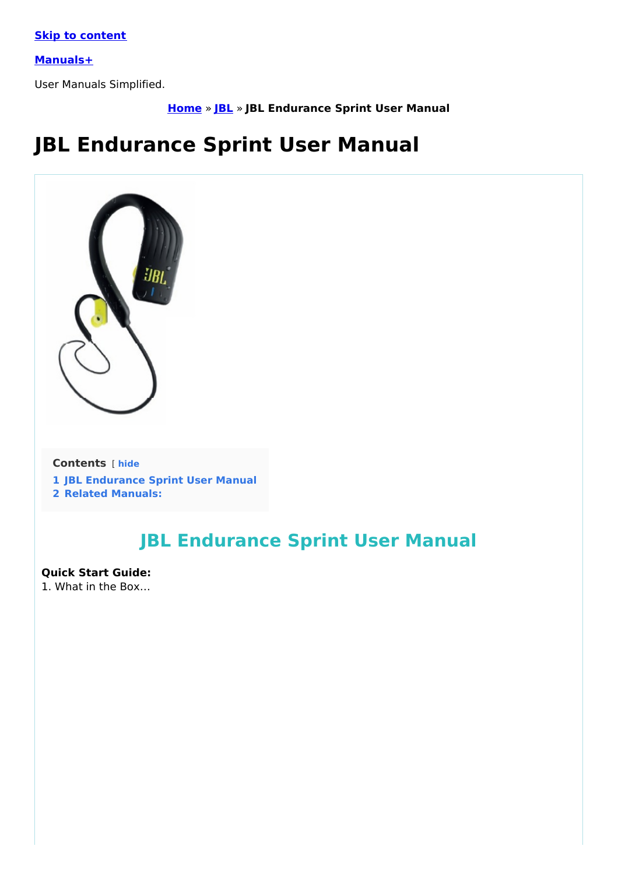**Skip to [content](#page-2-0)**

**[Manuals+](https://manuals.plus/)**

User Manuals Simplified.

**[Home](https://manuals.plus/)** » **[JBL](https://manuals.plus/category/jbl)** » **JBL Endurance Sprint User Manual**

# **JBL Endurance Sprint User Manual**



#### **Contents** [ **hide**

- **1 JBL [Endurance](#page-0-0) Sprint User Manual**
- **2 Related [Manuals:](#page-4-0)**

## <span id="page-0-0"></span>**JBL Endurance Sprint User Manual**

#### **Quick Start Guide:**

1. What in the Box…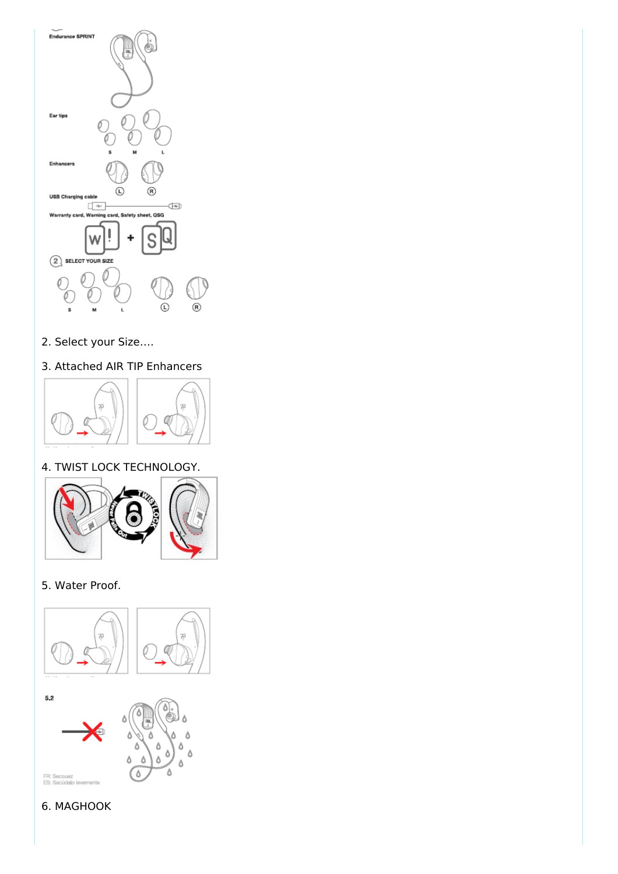

2. Select your Size….

### 3. Attached AIR TIP Enhancers



### 4. TWIST LOCK TECHNOLOGY.



### 5. Water Proof.



### 6. MAGHOOK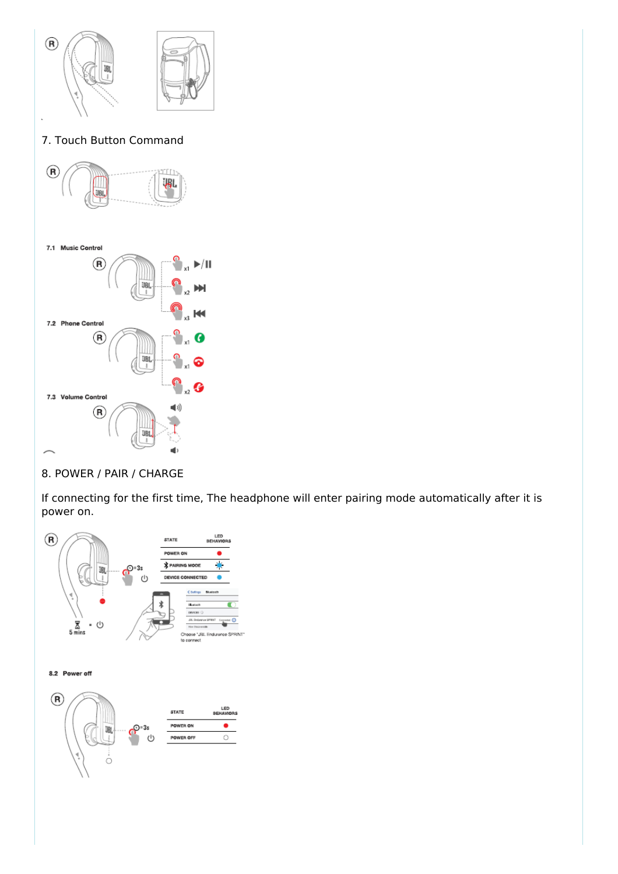<span id="page-2-0"></span>

#### 8. POWER / PAIR / CHARGE

If connecting for the first time, The headphone will enter pairing mode automatically after it is power on.

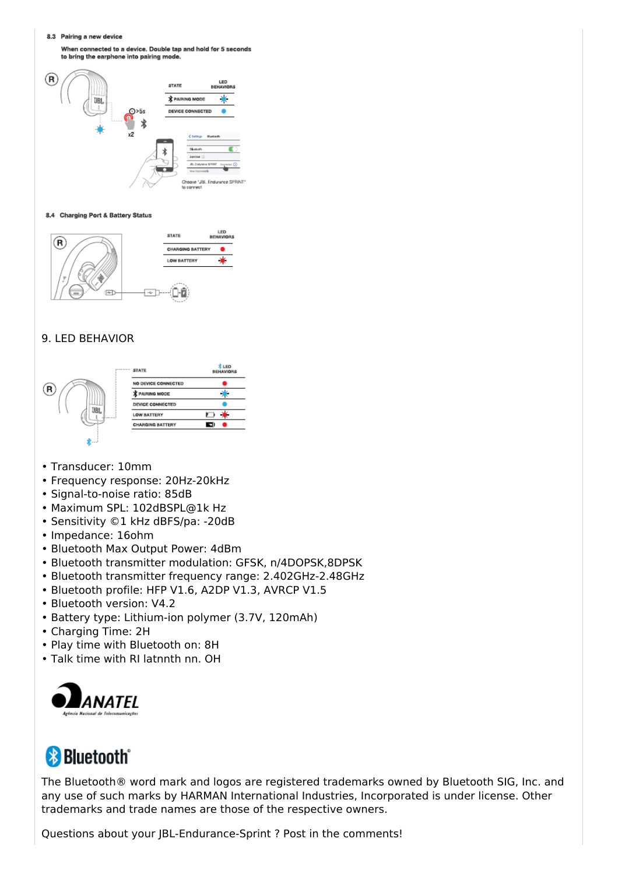8.3 Pairing a new device

When connected to a device. Double tap and hold for 5 seconds to bring the earphone into pairing mode



#### 8.4 Charging Port & Battery Status



#### 9. LED BEHAVIOR



- Transducer: 10mm
- Frequency response: 20Hz-20kHz
- Signal-to-noise ratio: 85dB
- Maximum SPL: 102dBSPL@1k Hz
- Sensitivity ©1 kHz dBFS/pa: -20dB
- Impedance: 16ohm
- Bluetooth Max Output Power: 4dBm
- Bluetooth transmitter modulation: GFSK, n/4DOPSK,8DPSK
- Bluetooth transmitter frequency range: 2.402GHz-2.48GHz
- Bluetooth profile: HFP V1.6, A2DP V1.3, AVRCP V1.5
- Bluetooth version: V4.2
- Battery type: Lithium-ion polymer (3.7V, 120mAh)
- Charging Time: 2H
- Play time with Bluetooth on: 8H
- Talk time with RI latnnth nn. OH



## **& Bluetooth**<sup>®</sup>

The Bluetooth® word mark and logos are registered trademarks owned by Bluetooth SIG, Inc. and any use of such marks by HARMAN International Industries, Incorporated is under license. Other trademarks and trade names are those of the respective owners.

Questions about your JBL-Endurance-Sprint ? Post in the comments!